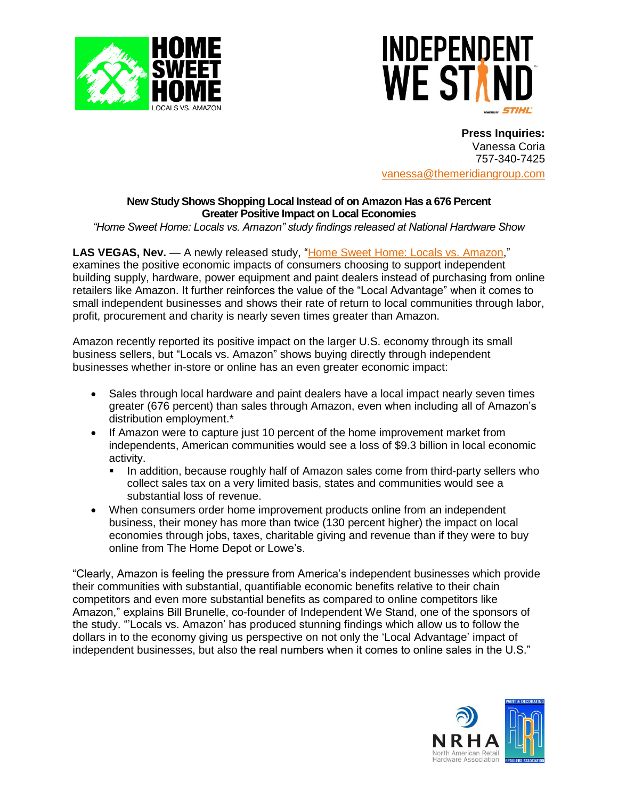



**Press Inquiries:** Vanessa Coria 757-340-7425 [vanessa@themeridiangroup.com](mailto:vanessa@themeridiangroup.com)

# **New Study Shows Shopping Local Instead of on Amazon Has a 676 Percent Greater Positive Impact on Local Economies**

*"Home Sweet Home: Locals vs. Amazon" study findings released at National Hardware Show*

**LAS VEGAS, Nev.** — A newly released study, ["Home Sweet Home: Locals vs.](https://www.independentwestand.org/wp-content/uploads/Home-Sweet-Home-Amazon_.pdf) Amazon," examines the positive economic impacts of consumers choosing to support independent building supply, hardware, power equipment and paint dealers instead of purchasing from online retailers like Amazon. It further reinforces the value of the "Local Advantage" when it comes to small independent businesses and shows their rate of return to local communities through labor, profit, procurement and charity is nearly seven times greater than Amazon.

Amazon recently reported its positive impact on the larger U.S. economy through its small business sellers, but "Locals vs. Amazon" shows buying directly through independent businesses whether in-store or online has an even greater economic impact:

- Sales through local hardware and paint dealers have a local impact nearly seven times greater (676 percent) than sales through Amazon, even when including all of Amazon's distribution employment.\*
- If Amazon were to capture just 10 percent of the home improvement market from independents, American communities would see a loss of \$9.3 billion in local economic activity.
	- **.** In addition, because roughly half of Amazon sales come from third-party sellers who collect sales tax on a very limited basis, states and communities would see a substantial loss of revenue.
- When consumers order home improvement products online from an independent business, their money has more than twice (130 percent higher) the impact on local economies through jobs, taxes, charitable giving and revenue than if they were to buy online from The Home Depot or Lowe's.

"Clearly, Amazon is feeling the pressure from America's independent businesses which provide their communities with substantial, quantifiable economic benefits relative to their chain competitors and even more substantial benefits as compared to online competitors like Amazon," explains Bill Brunelle, co-founder of Independent We Stand, one of the sponsors of the study. "'Locals vs. Amazon' has produced stunning findings which allow us to follow the dollars in to the economy giving us perspective on not only the 'Local Advantage' impact of independent businesses, but also the real numbers when it comes to online sales in the U.S."

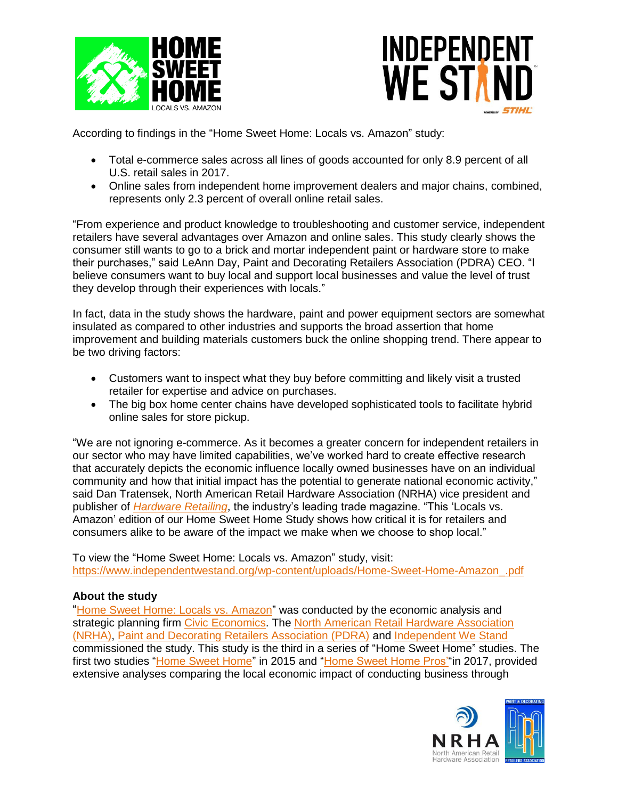



According to findings in the "Home Sweet Home: Locals vs. Amazon" study:

- Total e-commerce sales across all lines of goods accounted for only 8.9 percent of all U.S. retail sales in 2017.
- Online sales from independent home improvement dealers and major chains, combined, represents only 2.3 percent of overall online retail sales.

"From experience and product knowledge to troubleshooting and customer service, independent retailers have several advantages over Amazon and online sales. This study clearly shows the consumer still wants to go to a brick and mortar independent paint or hardware store to make their purchases," said LeAnn Day, Paint and Decorating Retailers Association (PDRA) CEO. "I believe consumers want to buy local and support local businesses and value the level of trust they develop through their experiences with locals."

In fact, data in the study shows the hardware, paint and power equipment sectors are somewhat insulated as compared to other industries and supports the broad assertion that home improvement and building materials customers buck the online shopping trend. There appear to be two driving factors:

- Customers want to inspect what they buy before committing and likely visit a trusted retailer for expertise and advice on purchases.
- The big box home center chains have developed sophisticated tools to facilitate hybrid online sales for store pickup.

"We are not ignoring e-commerce. As it becomes a greater concern for independent retailers in our sector who may have limited capabilities, we've worked hard to create effective research that accurately depicts the economic influence locally owned businesses have on an individual community and how that initial impact has the potential to generate national economic activity," said Dan Tratensek, North American Retail Hardware Association (NRHA) vice president and publisher of *[Hardware Retailing](http://www.hardwareretailing.com/)*, the industry's leading trade magazine. "This 'Locals vs. Amazon' edition of our Home Sweet Home Study shows how critical it is for retailers and consumers alike to be aware of the impact we make when we choose to shop local."

To view the "Home Sweet Home: Locals vs. Amazon" study, visit: [https://www.independentwestand.org/wp-content/uploads/Home-Sweet-Home-Amazon\\_.pdf](https://www.independentwestand.org/wp-content/uploads/Home-Sweet-Home-Amazon_.pdf)

## **About the study**

"[Home Sweet Home: Locals vs. Amazon"](https://www.independentwestand.org/wp-content/uploads/Home-Sweet-Home-Amazon_.pdf) was conducted by the economic analysis and strategic planning firm [Civic Economics.](http://www.civiceconomics.com/) The [North American Retail Hardware Association](http://www.nrha.org/)  [\(NRHA\),](http://www.nrha.org/) [Paint and Decorating Retailers Association \(PDRA\)](https://www.pdra.org/) and [Independent We Stand](http://www.independentwestand.org/) commissioned the study. This study is the third in a series of "Home Sweet Home" studies. The first two studies ["Home Sweet Home"](https://www.independentwestand.org/wp-content/uploads/IWS-NRHA-May-2015.pdf) in 2015 and "Home Sweet Home Pros" in 2017, provided extensive analyses comparing the local economic impact of conducting business through